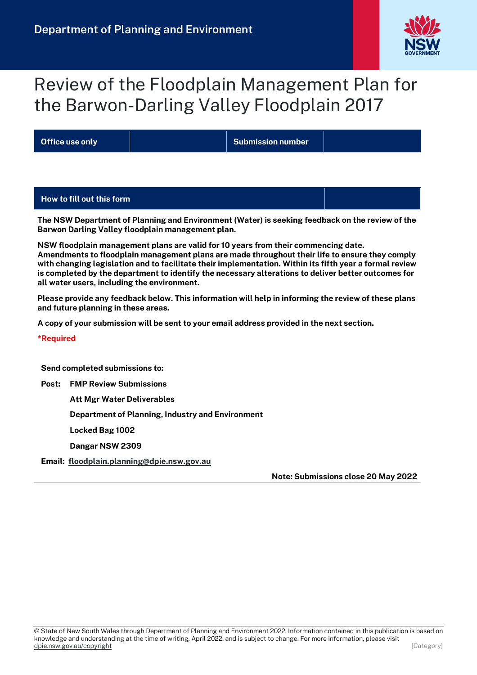

# Review of the Floodplain Management Plan for the Barwon-Darling Valley Floodplain 2017

**Office use only Submission number**

#### **How to fill out this form**

**The NSW Department of Planning and Environment (Water) is seeking feedback on the review of the Barwon Darling Valley floodplain management plan.**

**NSW floodplain management plans are valid for 10 years from their commencing date. Amendments to floodplain management plans are made throughout their life to ensure they comply with changing legislation and to facilitate their implementation. Within its fifth year a formal review is completed by the department to identify the necessary alterations to deliver better outcomes for all water users, including the environment.** 

**Please provide any feedback below. This information will help in informing the review of these plans and future planning in these areas.**

**A copy of your submission will be sent to your email address provided in the next section.**

**\*Required**

**Send completed submissions to:**

**Post: FMP Review Submissions**

**Att Mgr Water Deliverables**

**Department of Planning, Industry and Environment**

**Locked Bag 1002**

**Dangar NSW 2309**

**Email: [floodplain.planning@dpie.nsw.gov.au](mailto:floodplain.planning@dpie.nsw.gov.au)**

**Note: Submissions close 20 May 2022**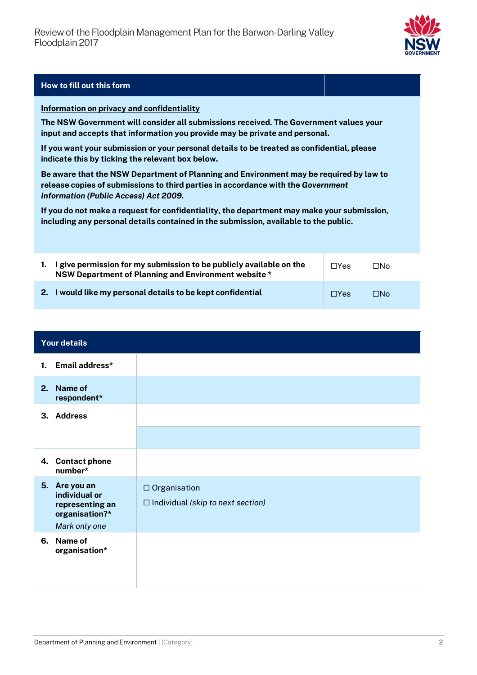

#### **How to fill out this form**

#### **Information on privacy and confidentiality**

**The NSW Government will consider all submissions received. The Government values your input and accepts that information you provide may be private and personal.**

**If you want your submission or your personal details to be treated as confidential, please indicate this by ticking the relevant box below.**

**Be aware that the NSW Department of Planning and Environment may be required by law to release copies of submissions to third parties in accordance with the** *Government Information (Public Access) Act 2009.* 

**If you do not make a request for confidentiality, the department may make your submission, including any personal details contained in the submission, available to the public.**

| 1. I give permission for my submission to be publicly available on the<br>NSW Department of Planning and Environment website * | $\Box$ Yes | ⊓N∩ |
|--------------------------------------------------------------------------------------------------------------------------------|------------|-----|
| 2. I would like my personal details to be kept confidential                                                                    | $\Box$ Yes | ⊟N∩ |

|    | <b>Your details</b>                                                                  |                                                                 |
|----|--------------------------------------------------------------------------------------|-----------------------------------------------------------------|
|    | 1. Email address*                                                                    |                                                                 |
| 2. | Name of<br>respondent*                                                               |                                                                 |
|    | 3. Address                                                                           |                                                                 |
|    |                                                                                      |                                                                 |
|    | 4. Contact phone<br>number*                                                          |                                                                 |
|    | 5. Are you an<br>individual or<br>representing an<br>organisation?*<br>Mark only one | $\Box$ Organisation<br>$\Box$ Individual (skip to next section) |
|    | 6. Name of<br>organisation*                                                          |                                                                 |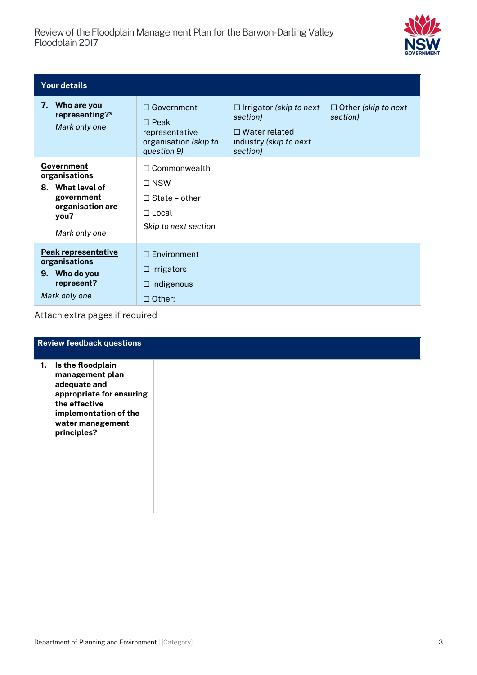

| <b>Your details</b>                                                                                        |                                                                                                   |                                                                                                          |                                        |  |  |  |  |
|------------------------------------------------------------------------------------------------------------|---------------------------------------------------------------------------------------------------|----------------------------------------------------------------------------------------------------------|----------------------------------------|--|--|--|--|
| 7. Who are you<br>representing?*<br>Mark only one                                                          | $\Box$ Government<br>$\Box$ Peak<br>representative<br>organisation (skip to<br>question 9)        | $\Box$ Irrigator (skip to next<br>section)<br>$\Box$ Water related<br>industry (skip to next<br>section) | $\Box$ Other (skip to next<br>section) |  |  |  |  |
| Government<br>organisations<br>8. What level of<br>government<br>organisation are<br>you?<br>Mark only one | $\Box$ Commonwealth<br>$\Box$ NSW<br>$\Box$ State – other<br>$\Box$ Local<br>Skip to next section |                                                                                                          |                                        |  |  |  |  |
| <b>Peak representative</b><br>organisations<br>9. Who do you<br>represent?<br>Mark only one                | $\Box$ Environment<br>$\Box$ Irrigators<br>$\Box$ Indigenous<br>$\Box$ Other:                     |                                                                                                          |                                        |  |  |  |  |

### Attach extra pages if required

|    | <b>Review feedback questions</b>                                                                                                                              |
|----|---------------------------------------------------------------------------------------------------------------------------------------------------------------|
| 1. | Is the floodplain<br>management plan<br>adequate and<br>appropriate for ensuring<br>the effective<br>implementation of the<br>water management<br>principles? |